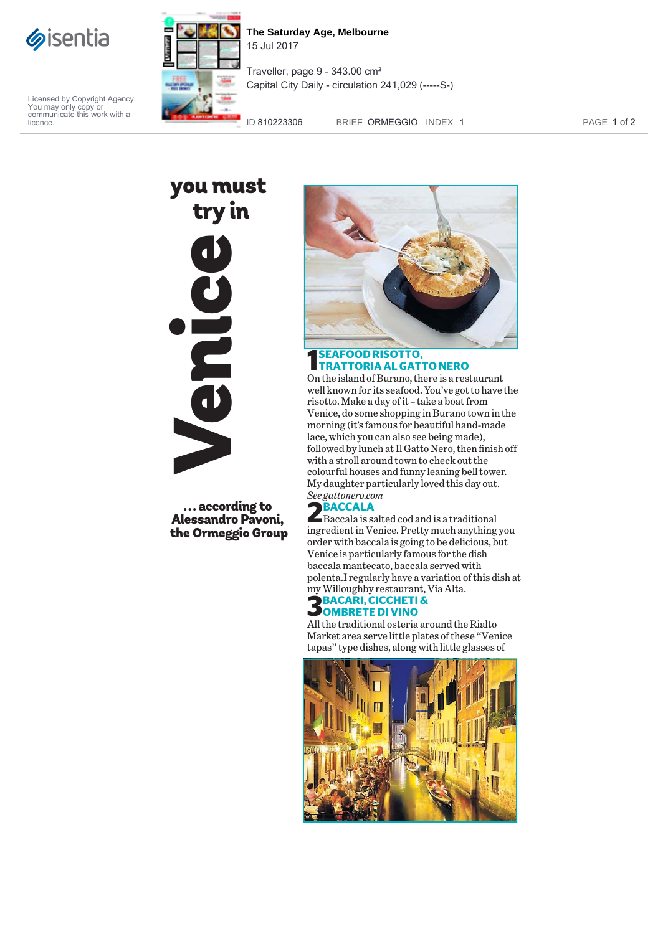

Licensed by Copyright Agency. You may only copy or communicate this work with a licence.



**The Saturday Age, Melbourne** 15 Jul 2017

Traveller, page 9 - 343.00 cm² Capital City Daily - circulation 241,029 (-----S-)

ID 810223306 BRIEF ORMEGGIO INDEX 1 PAGE 1 of 2

you must try inVenice

... according to Alessandro Pavoni, the Ormeggio Group



### **1 SEAFOOD RISOTTO, TRATTORIA AL GATTO NERO**

On the island of Burano, there is a restaurant well known for its seafood. You've got to have the risotto. Make a day of it – take a boat from Venice, do some shopping in Burano town in the morning (it's famous for beautiful hand-made lace, which you can also see being made), followed by lunch at Il Gatto Nero, then finish off with a stroll around town to check out the colourful houses and funny leaning bell tower. My daughter particularly loved this day out. *See gattonero.com*

**2BACCALA**<br>Baccala is salted cod and is a traditional<br>in my district Waritz, Buttonauch and time ingredient in Venice. Pretty much anything you order with baccala is going to be delicious, but Venice is particularly famous for the dish baccala mantecato, baccala served with polenta.I regularly have a variation of this dish at my Willoughby restaurant, Via Alta.<br> **BACARI, CICCHETI &** 

## **3BACARI, CICCHETI & OMBRETE DI VINO**

All the traditional osteria around the Rialto Market area serve little plates of these ''Venice tapas'' type dishes, along with little glasses of